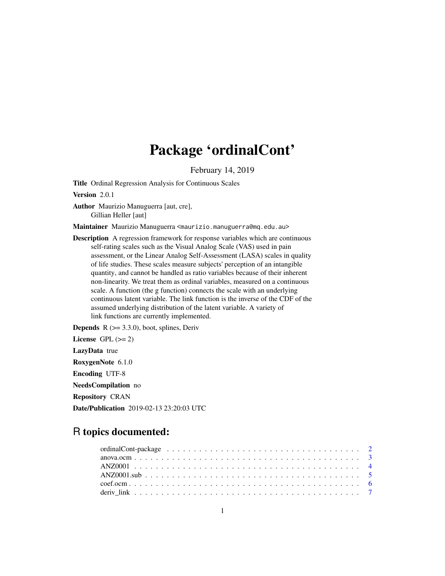# Package 'ordinalCont'

February 14, 2019

<span id="page-0-0"></span>Title Ordinal Regression Analysis for Continuous Scales

Version 2.0.1

Author Maurizio Manuguerra [aut, cre], Gillian Heller [aut]

Maintainer Maurizio Manuguerra <maurizio.manuguerra@mq.edu.au>

Description A regression framework for response variables which are continuous self-rating scales such as the Visual Analog Scale (VAS) used in pain assessment, or the Linear Analog Self-Assessment (LASA) scales in quality of life studies. These scales measure subjects' perception of an intangible quantity, and cannot be handled as ratio variables because of their inherent non-linearity. We treat them as ordinal variables, measured on a continuous scale. A function (the g function) connects the scale with an underlying continuous latent variable. The link function is the inverse of the CDF of the assumed underlying distribution of the latent variable. A variety of link functions are currently implemented.

**Depends**  $R$  ( $>= 3.3.0$ ), boot, splines, Deriv License GPL  $(>= 2)$ LazyData true RoxygenNote 6.1.0 Encoding UTF-8 NeedsCompilation no Repository CRAN Date/Publication 2019-02-13 23:20:03 UTC

# R topics documented: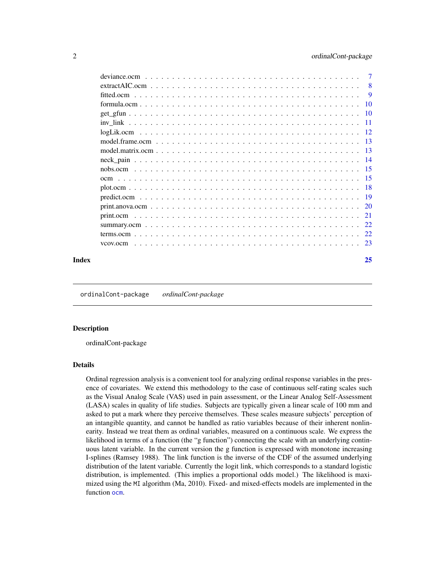<span id="page-1-0"></span>

|          | 8               |
|----------|-----------------|
|          | 9               |
|          | <b>10</b>       |
|          | $\overline{10}$ |
|          | -11             |
|          | -12             |
|          | -13             |
|          | -13             |
|          | - 14            |
|          |                 |
|          |                 |
|          | - 18            |
|          | - 19            |
|          |                 |
|          | 21              |
|          | 22.             |
|          | 22              |
| vcov.ocm | -23             |
|          |                 |

#### **Index** [25](#page-24-0)

ordinalCont-package *ordinalCont-package*

#### Description

ordinalCont-package

#### Details

Ordinal regression analysis is a convenient tool for analyzing ordinal response variables in the presence of covariates. We extend this methodology to the case of continuous self-rating scales such as the Visual Analog Scale (VAS) used in pain assessment, or the Linear Analog Self-Assessment (LASA) scales in quality of life studies. Subjects are typically given a linear scale of 100 mm and asked to put a mark where they perceive themselves. These scales measure subjects' perception of an intangible quantity, and cannot be handled as ratio variables because of their inherent nonlinearity. Instead we treat them as ordinal variables, measured on a continuous scale. We express the likelihood in terms of a function (the "g function") connecting the scale with an underlying continuous latent variable. In the current version the g function is expressed with monotone increasing I-splines (Ramsey 1988). The link function is the inverse of the CDF of the assumed underlying distribution of the latent variable. Currently the logit link, which corresponds to a standard logistic distribution, is implemented. (This implies a proportional odds model.) The likelihood is maximized using the MI algorithm (Ma, 2010). Fixed- and mixed-effects models are implemented in the function [ocm](#page-14-1).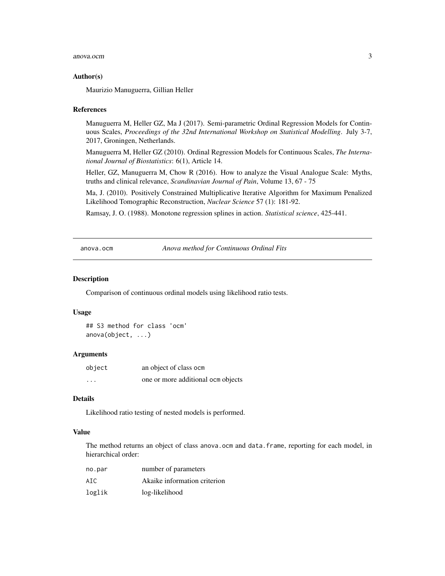#### <span id="page-2-0"></span>anova.ocm 3

#### Author(s)

Maurizio Manuguerra, Gillian Heller

#### References

Manuguerra M, Heller GZ, Ma J (2017). Semi-parametric Ordinal Regression Models for Continuous Scales, *Proceedings of the 32nd International Workshop on Statistical Modelling*. July 3-7, 2017, Groningen, Netherlands.

Manuguerra M, Heller GZ (2010). Ordinal Regression Models for Continuous Scales, *The International Journal of Biostatistics*: 6(1), Article 14.

Heller, GZ, Manuguerra M, Chow R (2016). How to analyze the Visual Analogue Scale: Myths, truths and clinical relevance, *Scandinavian Journal of Pain*, Volume 13, 67 - 75

Ma, J. (2010). Positively Constrained Multiplicative Iterative Algorithm for Maximum Penalized Likelihood Tomographic Reconstruction, *Nuclear Science* 57 (1): 181-92.

Ramsay, J. O. (1988). Monotone regression splines in action. *Statistical science*, 425-441.

<span id="page-2-1"></span>anova.ocm *Anova method for Continuous Ordinal Fits*

#### **Description**

Comparison of continuous ordinal models using likelihood ratio tests.

#### Usage

```
## S3 method for class 'ocm'
anova(object, ...)
```
#### **Arguments**

| object   | an object of class ocm             |
|----------|------------------------------------|
| $\cdots$ | one or more additional ocm objects |

#### Details

Likelihood ratio testing of nested models is performed.

#### Value

The method returns an object of class anova.ocm and data.frame, reporting for each model, in hierarchical order:

| no.par | number of parameters         |
|--------|------------------------------|
| AIC.   | Akaike information criterion |
| loglik | log-likelihood               |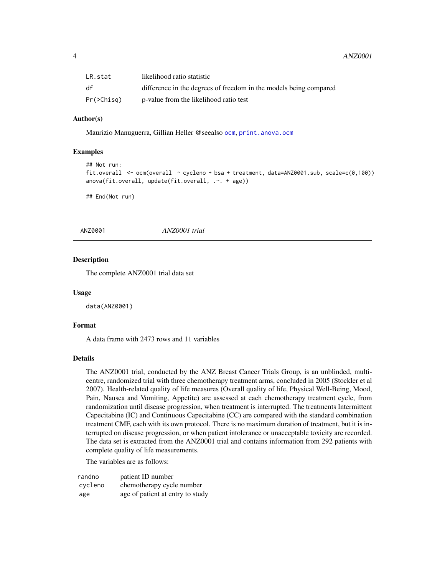<span id="page-3-0"></span>

| LR.stat    | likelihood ratio statistic                                        |
|------------|-------------------------------------------------------------------|
| df         | difference in the degrees of freedom in the models being compared |
| Pr(>Chisq) | p-value from the likelihood ratio test                            |

# Author(s)

Maurizio Manuguerra, Gillian Heller @seealso [ocm](#page-14-1), [print.anova.ocm](#page-19-1)

# Examples

```
## Not run:
fit.overall <- ocm(overall \sim cycleno + bsa + treatment, data=ANZ0001.sub, scale=c(0,100))
anova(fit.overall, update(fit.overall, .~. + age))
```
## End(Not run)

ANZ0001 *ANZ0001 trial*

# **Description**

The complete ANZ0001 trial data set

#### Usage

data(ANZ0001)

# Format

A data frame with 2473 rows and 11 variables

# Details

The ANZ0001 trial, conducted by the ANZ Breast Cancer Trials Group, is an unblinded, multicentre, randomized trial with three chemotherapy treatment arms, concluded in 2005 (Stockler et al 2007). Health-related quality of life measures (Overall quality of life, Physical Well-Being, Mood, Pain, Nausea and Vomiting, Appetite) are assessed at each chemotherapy treatment cycle, from randomization until disease progression, when treatment is interrupted. The treatments Intermittent Capecitabine (IC) and Continuous Capecitabine (CC) are compared with the standard combination treatment CMF, each with its own protocol. There is no maximum duration of treatment, but it is interrupted on disease progression, or when patient intolerance or unacceptable toxicity are recorded. The data set is extracted from the ANZ0001 trial and contains information from 292 patients with complete quality of life measurements.

The variables are as follows:

| randno  | patient ID number                |
|---------|----------------------------------|
| cycleno | chemotherapy cycle number        |
| age     | age of patient at entry to study |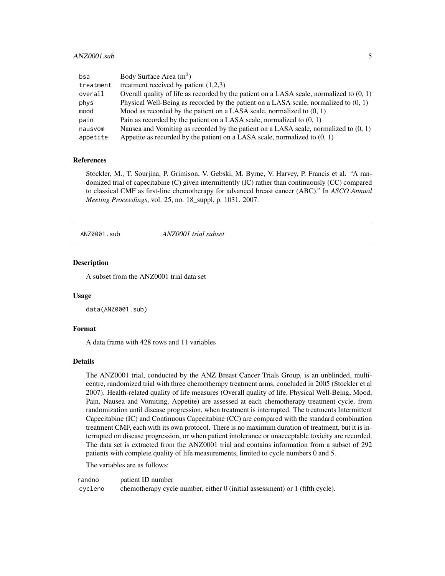# <span id="page-4-0"></span>ANZ0001.sub 5

| bsa       | Body Surface Area $(m^2)$                                                                  |
|-----------|--------------------------------------------------------------------------------------------|
| treatment | treatment received by patient $(1,2,3)$                                                    |
| overall   | Overall quality of life as recorded by the patient on a LASA scale, normalized to $(0, 1)$ |
| phys      | Physical Well-Being as recorded by the patient on a LASA scale, normalized to $(0, 1)$     |
| mood      | Mood as recorded by the patient on a LASA scale, normalized to $(0, 1)$                    |
| pain      | Pain as recorded by the patient on a LASA scale, normalized to $(0, 1)$                    |
| nausvom   | Nausea and Vomiting as recorded by the patient on a LASA scale, normalized to $(0, 1)$     |
| appetite  | Appetite as recorded by the patient on a LASA scale, normalized to $(0, 1)$                |

# References

Stockler, M., T. Sourjina, P. Grimison, V. Gebski, M. Byrne, V. Harvey, P. Francis et al. "A randomized trial of capecitabine (C) given intermittently (IC) rather than continuously (CC) compared to classical CMF as first-line chemotherapy for advanced breast cancer (ABC)." In *ASCO Annual Meeting Proceedings*, vol. 25, no. 18\_suppl, p. 1031. 2007.

ANZ0001.sub *ANZ0001 trial subset*

#### Description

A subset from the ANZ0001 trial data set

#### Usage

data(ANZ0001.sub)

# Format

A data frame with 428 rows and 11 variables

#### Details

The ANZ0001 trial, conducted by the ANZ Breast Cancer Trials Group, is an unblinded, multicentre, randomized trial with three chemotherapy treatment arms, concluded in 2005 (Stockler et al 2007). Health-related quality of life measures (Overall quality of life, Physical Well-Being, Mood, Pain, Nausea and Vomiting, Appetite) are assessed at each chemotherapy treatment cycle, from randomization until disease progression, when treatment is interrupted. The treatments Intermittent Capecitabine (IC) and Continuous Capecitabine (CC) are compared with the standard combination treatment CMF, each with its own protocol. There is no maximum duration of treatment, but it is interrupted on disease progression, or when patient intolerance or unacceptable toxicity are recorded. The data set is extracted from the ANZ0001 trial and contains information from a subset of 292 patients with complete quality of life measurements, limited to cycle numbers 0 and 5.

The variables are as follows:

randno patient ID number cycleno chemotherapy cycle number, either 0 (initial assessment) or 1 (fifth cycle).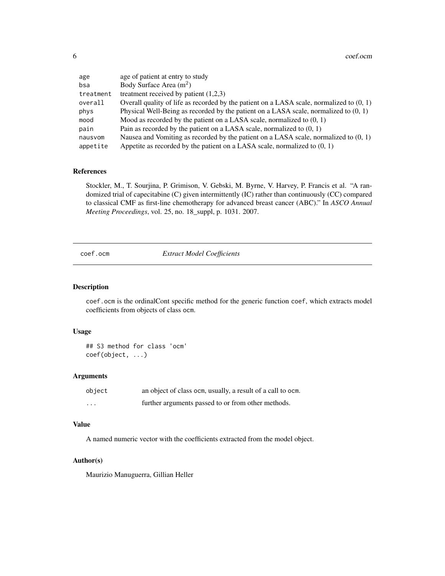<span id="page-5-0"></span>6 coef.ocm coef.com coef.com coef.com coef.com coef.com coef.com coef.com coef.com

| age<br>bsa | age of patient at entry to study<br>Body Surface Area $(m2)$                               |
|------------|--------------------------------------------------------------------------------------------|
| treatment  | treatment received by patient $(1,2,3)$                                                    |
| overall    | Overall quality of life as recorded by the patient on a LASA scale, normalized to $(0, 1)$ |
| phys       | Physical Well-Being as recorded by the patient on a LASA scale, normalized to $(0, 1)$     |
| mood       | Mood as recorded by the patient on a LASA scale, normalized to $(0, 1)$                    |
| pain       | Pain as recorded by the patient on a LASA scale, normalized to $(0, 1)$                    |
| nausvom    | Nausea and Vomiting as recorded by the patient on a LASA scale, normalized to $(0, 1)$     |
| appetite   | Appetite as recorded by the patient on a LASA scale, normalized to $(0, 1)$                |

#### References

Stockler, M., T. Sourjina, P. Grimison, V. Gebski, M. Byrne, V. Harvey, P. Francis et al. "A randomized trial of capecitabine (C) given intermittently (IC) rather than continuously (CC) compared to classical CMF as first-line chemotherapy for advanced breast cancer (ABC)." In *ASCO Annual Meeting Proceedings*, vol. 25, no. 18\_suppl, p. 1031. 2007.

coef.ocm *Extract Model Coefficients*

#### Description

coef.ocm is the ordinalCont specific method for the generic function coef, which extracts model coefficients from objects of class ocm.

#### Usage

## S3 method for class 'ocm' coef(object, ...)

# Arguments

| object   | an object of class ocm, usually, a result of a call to ocm. |
|----------|-------------------------------------------------------------|
| $\cdots$ | further arguments passed to or from other methods.          |

# Value

A named numeric vector with the coefficients extracted from the model object.

#### Author(s)

Maurizio Manuguerra, Gillian Heller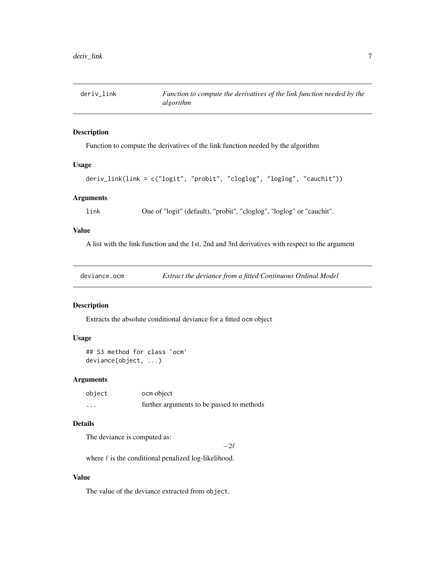<span id="page-6-0"></span>

Function to compute the derivatives of the link function needed by the algorithm

#### Usage

```
deriv_link(link = c("logit", "probit", "cloglog", "loglog", "cauchit"))
```
#### Arguments

link One of "logit" (default), "probit", "cloglog", "loglog" or "cauchit".

# Value

A list with the link function and the 1st, 2nd and 3rd derivatives with respect to the argument

| deviance.ocm | Extract the deviance from a fitted Continuous Ordinal Model |
|--------------|-------------------------------------------------------------|
|              |                                                             |

# Description

Extracts the absolute conditional deviance for a fitted ocm object

#### Usage

```
## S3 method for class 'ocm'
deviance(object, ...)
```
# Arguments

| object   | ocm object                                |
|----------|-------------------------------------------|
| $\cdots$ | further arguments to be passed to methods |

# Details

The deviance is computed as:

 $-2\ell$ 

where  $\ell$  is the conditional penalized log-likelihood.

#### Value

The value of the deviance extracted from object.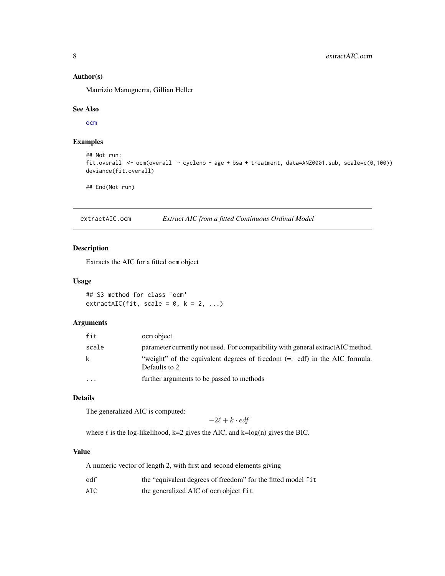# <span id="page-7-0"></span>Author(s)

Maurizio Manuguerra, Gillian Heller

#### See Also

[ocm](#page-14-1)

# Examples

```
## Not run:
fit.overall <- ocm(overall ~ cycleno + age + bsa + treatment, data=ANZ0001.sub, scale=c(0,100))
deviance(fit.overall)
```
## End(Not run)

extractAIC.ocm *Extract AIC from a fitted Continuous Ordinal Model*

# Description

Extracts the AIC for a fitted ocm object

#### Usage

## S3 method for class 'ocm'  $extractAIC(fit, scale = 0, k = 2, ...)$ 

#### Arguments

| fit       | ocm object                                                                                  |
|-----------|---------------------------------------------------------------------------------------------|
| scale     | parameter currently not used. For compatibility with general extract AIC method.            |
| k         | "weight" of the equivalent degrees of freedom (=: edf) in the AIC formula.<br>Defaults to 2 |
| $\ddotsc$ | further arguments to be passed to methods                                                   |

# Details

The generalized AIC is computed:

$$
-2\ell + k \cdot \textit{edf}
$$

where  $\ell$  is the log-likelihood, k=2 gives the AIC, and k=log(n) gives the BIC.

# Value

A numeric vector of length 2, with first and second elements giving

| edf |  | the "equivalent degrees of freedom" for the fitted model fit |
|-----|--|--------------------------------------------------------------|
|-----|--|--------------------------------------------------------------|

AIC the generalized AIC of ocm object fit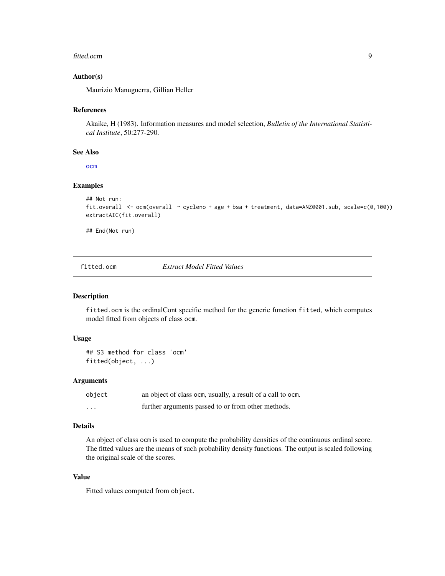#### <span id="page-8-0"></span>fitted.ocm 9

#### Author(s)

Maurizio Manuguerra, Gillian Heller

# References

Akaike, H (1983). Information measures and model selection, *Bulletin of the International Statistical Institute*, 50:277-290.

# See Also

[ocm](#page-14-1)

#### Examples

```
## Not run:
fit.overall <- ocm(overall ~ cycleno + age + bsa + treatment, data=ANZ0001.sub, scale=c(0,100))
extractAIC(fit.overall)
```
## End(Not run)

fitted.ocm *Extract Model Fitted Values*

# Description

fitted.ocm is the ordinalCont specific method for the generic function fitted, which computes model fitted from objects of class ocm.

# Usage

```
## S3 method for class 'ocm'
fitted(object, ...)
```
# Arguments

| object   | an object of class ocm, usually, a result of a call to ocm. |
|----------|-------------------------------------------------------------|
| $\cdots$ | further arguments passed to or from other methods.          |

#### Details

An object of class ocm is used to compute the probability densities of the continuous ordinal score. The fitted values are the means of such probability density functions. The output is scaled following the original scale of the scores.

# Value

Fitted values computed from object.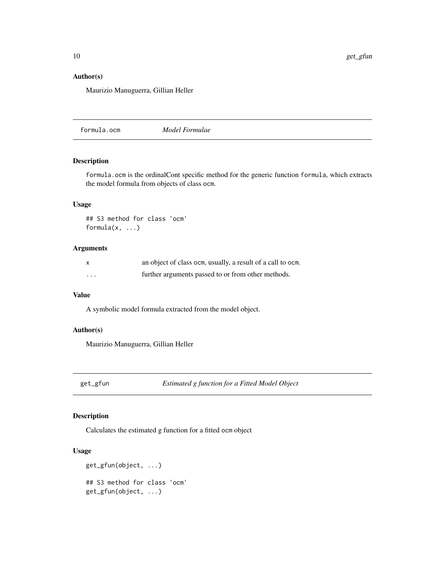# <span id="page-9-0"></span>Author(s)

Maurizio Manuguerra, Gillian Heller

formula.ocm *Model Formulae*

#### Description

formula.ocm is the ordinalCont specific method for the generic function formula, which extracts the model formula from objects of class ocm.

# Usage

```
## S3 method for class 'ocm'
formula(x, ...)
```
# Arguments

| X        | an object of class ocm, usually, a result of a call to ocm. |
|----------|-------------------------------------------------------------|
| $\cdots$ | further arguments passed to or from other methods.          |

#### Value

A symbolic model formula extracted from the model object.

#### Author(s)

Maurizio Manuguerra, Gillian Heller

get\_gfun *Estimated g function for a Fitted Model Object*

# Description

Calculates the estimated g function for a fitted ocm object

#### Usage

```
get_gfun(object, ...)
## S3 method for class 'ocm'
get_gfun(object, ...)
```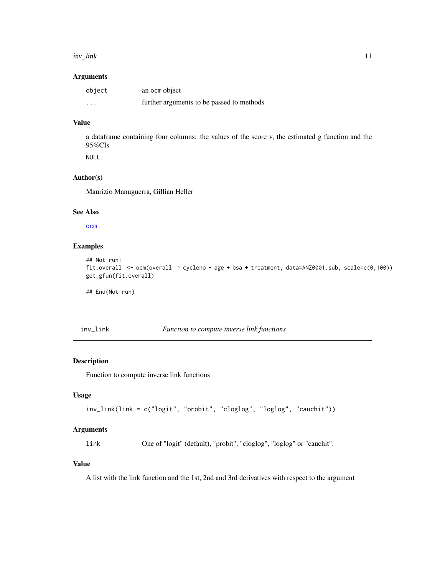#### <span id="page-10-0"></span>inv\_link 11

# Arguments

| object   | an ocm object                             |
|----------|-------------------------------------------|
| $\cdots$ | further arguments to be passed to methods |

# Value

a dataframe containing four columns: the values of the score v, the estimated g function and the 95%CIs

NULL

# Author(s)

Maurizio Manuguerra, Gillian Heller

# See Also

[ocm](#page-14-1)

# Examples

```
## Not run:
fit.overall <- ocm(overall ~ cycleno + age + bsa + treatment, data=ANZ0001.sub, scale=c(0,100))
get_gfun(fit.overall)
```
## End(Not run)

# inv\_link *Function to compute inverse link functions*

#### Description

Function to compute inverse link functions

# Usage

```
inv_link(link = c("logit", "probit", "cloglog", "loglog", "cauchit"))
```
#### Arguments

link One of "logit" (default), "probit", "cloglog", "loglog" or "cauchit".

# Value

A list with the link function and the 1st, 2nd and 3rd derivatives with respect to the argument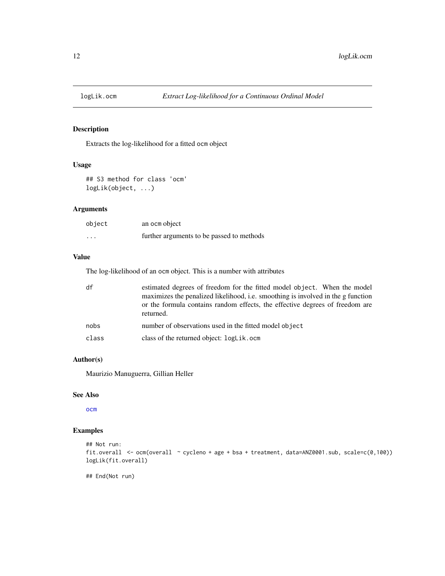<span id="page-11-0"></span>

Extracts the log-likelihood for a fitted ocm object

# Usage

## S3 method for class 'ocm' logLik(object, ...)

# Arguments

| object   | an ocm object                             |
|----------|-------------------------------------------|
| $\cdots$ | further arguments to be passed to methods |

# Value

The log-likelihood of an ocm object. This is a number with attributes

| df    | estimated degrees of freedom for the fitted model object. When the model<br>maximizes the penalized likelihood, i.e. smoothing is involved in the g function<br>or the formula contains random effects, the effective degrees of freedom are<br>returned. |
|-------|-----------------------------------------------------------------------------------------------------------------------------------------------------------------------------------------------------------------------------------------------------------|
| nobs  | number of observations used in the fitted model object                                                                                                                                                                                                    |
| class | class of the returned object: logLik.ocm                                                                                                                                                                                                                  |

# Author(s)

Maurizio Manuguerra, Gillian Heller

# See Also

[ocm](#page-14-1)

# Examples

```
## Not run:
fit.overall <- ocm(overall ~ cycleno + age + bsa + treatment, data=ANZ0001.sub, scale=c(0,100))
logLik(fit.overall)
```
## End(Not run)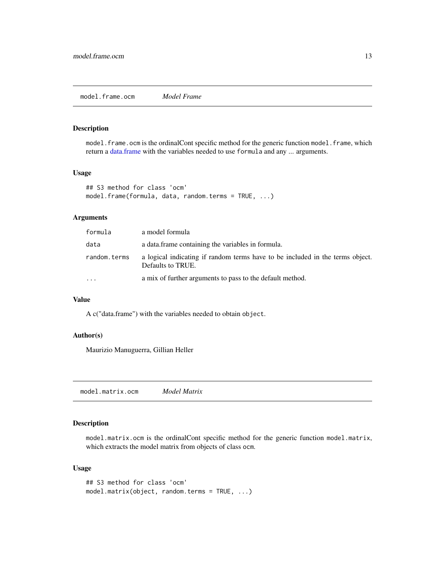<span id="page-12-0"></span>model.frame.ocm is the ordinalCont specific method for the generic function model.frame, which return a [data.frame](#page-0-0) with the variables needed to use formula and any ... arguments.

# Usage

```
## S3 method for class 'ocm'
model.frame(formula, data, random.terms = TRUE, ...)
```
# Arguments

| formula      | a model formula                                                                                    |
|--------------|----------------------------------------------------------------------------------------------------|
| data         | a data frame containing the variables in formula.                                                  |
| random.terms | a logical indicating if random terms have to be included in the terms object.<br>Defaults to TRUE. |
| $\cdots$     | a mix of further arguments to pass to the default method.                                          |

# Value

A c("data.frame") with the variables needed to obtain object.

# Author(s)

Maurizio Manuguerra, Gillian Heller

model.matrix.ocm *Model Matrix*

# Description

model.matrix.ocm is the ordinalCont specific method for the generic function model.matrix, which extracts the model matrix from objects of class ocm.

# Usage

```
## S3 method for class 'ocm'
model.matrix(object, random.terms = TRUE, ...)
```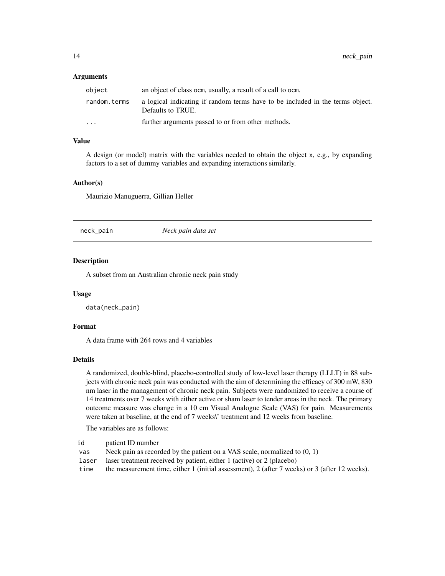#### <span id="page-13-0"></span>Arguments

| object       | an object of class ocm, usually, a result of a call to ocm.                                        |
|--------------|----------------------------------------------------------------------------------------------------|
| random.terms | a logical indicating if random terms have to be included in the terms object.<br>Defaults to TRUE. |
| $\ddotsc$    | further arguments passed to or from other methods.                                                 |

# Value

A design (or model) matrix with the variables needed to obtain the object x, e.g., by expanding factors to a set of dummy variables and expanding interactions similarly.

#### Author(s)

Maurizio Manuguerra, Gillian Heller

neck\_pain *Neck pain data set*

#### Description

A subset from an Australian chronic neck pain study

#### Usage

data(neck\_pain)

#### Format

A data frame with 264 rows and 4 variables

# Details

A randomized, double-blind, placebo-controlled study of low-level laser therapy (LLLT) in 88 subjects with chronic neck pain was conducted with the aim of determining the efficacy of 300 mW, 830 nm laser in the management of chronic neck pain. Subjects were randomized to receive a course of 14 treatments over 7 weeks with either active or sham laser to tender areas in the neck. The primary outcome measure was change in a 10 cm Visual Analogue Scale (VAS) for pain. Measurements were taken at baseline, at the end of 7 weeks\' treatment and 12 weeks from baseline.

The variables are as follows:

| id | patient ID number |  |
|----|-------------------|--|
|----|-------------------|--|

- vas Neck pain as recorded by the patient on a VAS scale, normalized to (0, 1)
- laser laser treatment received by patient, either 1 (active) or 2 (placebo)

time the measurement time, either 1 (initial assessment), 2 (after 7 weeks) or 3 (after 12 weeks).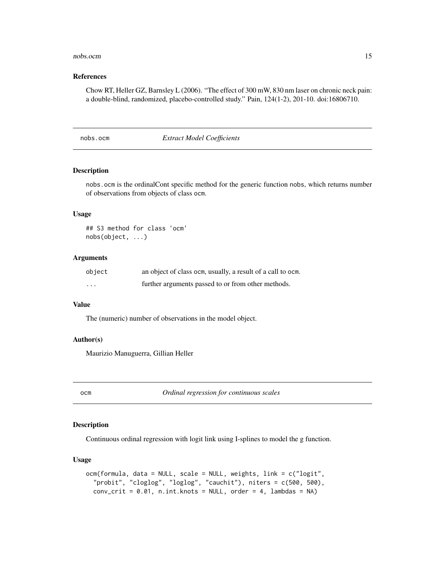#### <span id="page-14-0"></span>nobs.ocm and 15

#### References

Chow RT, Heller GZ, Barnsley L (2006). "The effect of 300 mW, 830 nm laser on chronic neck pain: a double-blind, randomized, placebo-controlled study." Pain, 124(1-2), 201-10. doi:16806710.

nobs.ocm *Extract Model Coefficients*

#### Description

nobs.ocm is the ordinalCont specific method for the generic function nobs, which returns number of observations from objects of class ocm.

#### Usage

## S3 method for class 'ocm' nobs(object, ...)

#### Arguments

| object | an object of class ocm, usually, a result of a call to ocm. |
|--------|-------------------------------------------------------------|
| .      | further arguments passed to or from other methods.          |

# Value

The (numeric) number of observations in the model object.

#### Author(s)

Maurizio Manuguerra, Gillian Heller

<span id="page-14-1"></span>

ocm *Ordinal regression for continuous scales*

#### Description

Continuous ordinal regression with logit link using I-splines to model the g function.

# Usage

```
ocm(formula, data = NULL, scale = NULL, weights, link = c("logit",
  "probit", "cloglog", "loglog", "cauchit"), niters = c(500, 500),
  conv\_crit = 0.01, n.int.knots = NULL, order = 4, lambdas = NA)
```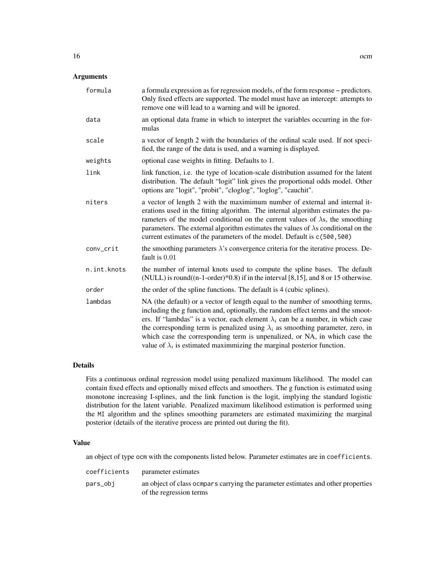# Arguments

| formula     | a formula expression as for regression models, of the form response $\sim$ predictors.<br>Only fixed effects are supported. The model must have an intercept: attempts to<br>remove one will lead to a warning and will be ignored.                                                                                                                                                                                                                                                                                    |
|-------------|------------------------------------------------------------------------------------------------------------------------------------------------------------------------------------------------------------------------------------------------------------------------------------------------------------------------------------------------------------------------------------------------------------------------------------------------------------------------------------------------------------------------|
| data        | an optional data frame in which to interpret the variables occurring in the for-<br>mulas                                                                                                                                                                                                                                                                                                                                                                                                                              |
| scale       | a vector of length 2 with the boundaries of the ordinal scale used. If not speci-<br>fied, the range of the data is used, and a warning is displayed.                                                                                                                                                                                                                                                                                                                                                                  |
| weights     | optional case weights in fitting. Defaults to 1.                                                                                                                                                                                                                                                                                                                                                                                                                                                                       |
| link        | link function, <i>i.e.</i> the type of location-scale distribution assumed for the latent<br>distribution. The default "logit" link gives the proportional odds model. Other<br>options are "logit", "probit", "cloglog", "loglog", "cauchit".                                                                                                                                                                                                                                                                         |
| niters      | a vector of length 2 with the maximimum number of external and internal it-<br>erations used in the fitting algorithm. The internal algorithm estimates the pa-<br>rameters of the model conditional on the current values of $\lambda$ s, the smoothing<br>parameters. The external algorithm estimates the values of $\lambda$ s conditional on the<br>current estimates of the parameters of the model. Default is c(500,500)                                                                                       |
| conv_crit   | the smoothing parameters $\lambda$ 's convergence criteria for the iterative process. De-<br>fault is $0.01$                                                                                                                                                                                                                                                                                                                                                                                                           |
| n.int.knots | the number of internal knots used to compute the spline bases. The default<br>(NULL) is round( $(n-1-order)*0.8$ ) if in the interval [8,15], and 8 or 15 otherwise.                                                                                                                                                                                                                                                                                                                                                   |
| order       | the order of the spline functions. The default is 4 (cubic splines).                                                                                                                                                                                                                                                                                                                                                                                                                                                   |
| lambdas     | NA (the default) or a vector of length equal to the number of smoothing terms,<br>including the g function and, optionally, the random effect terms and the smoot-<br>ers. If "lambdas" is a vector, each element $\lambda_i$ can be a number, in which case<br>the corresponding term is penalized using $\lambda_i$ as smoothing parameter, zero, in<br>which case the corresponding term is unpenalized, or NA, in which case the<br>value of $\lambda_i$ is estimated maximmizing the marginal posterior function. |

# Details

Fits a continuous ordinal regression model using penalized maximum likelihood. The model can contain fixed effects and optionally mixed effects and smoothers. The g function is estimated using monotone increasing I-splines, and the link function is the logit, implying the standard logistic distribution for the latent variable. Penalized maximum likelihood estimation is performed using the MI algorithm and the splines smoothing parameters are estimated maximizing the marginal posterior (details of the iterative process are printed out during the fit).

# Value

an object of type ocm with the components listed below. Parameter estimates are in coefficients.

| coefficients | parameter estimates                                                                                         |
|--------------|-------------------------------------------------------------------------------------------------------------|
| pars_obj     | an object of class ocmpars carrying the parameter estimates and other properties<br>of the regression terms |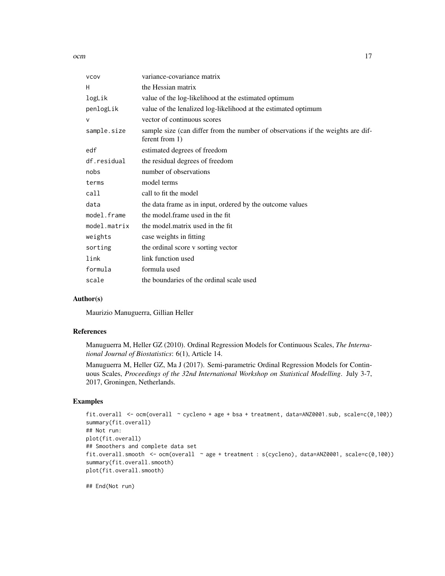ocm and the contract of the contract of the contract of the contract of the contract of the contract of the contract of the contract of the contract of the contract of the contract of the contract of the contract of the co

| <b>VCOV</b>  | variance-covariance matrix                                                                        |
|--------------|---------------------------------------------------------------------------------------------------|
| H            | the Hessian matrix                                                                                |
| logLik       | value of the log-likelihood at the estimated optimum                                              |
| penlogLik    | value of the lenalized log-likelihood at the estimated optimum                                    |
| $\mathsf{V}$ | vector of continuous scores                                                                       |
| sample.size  | sample size (can differ from the number of observations if the weights are dif-<br>ferent from 1) |
| edf          | estimated degrees of freedom                                                                      |
| df.residual  | the residual degrees of freedom                                                                   |
| nobs         | number of observations                                                                            |
| terms        | model terms                                                                                       |
| call         | call to fit the model                                                                             |
| data         | the data frame as in input, ordered by the outcome values                                         |
| model.frame  | the model. frame used in the fit                                                                  |
| model.matrix | the model matrix used in the fit                                                                  |
| weights      | case weights in fitting                                                                           |
| sorting      | the ordinal score v sorting vector                                                                |
| link         | link function used                                                                                |
| formula      | formula used                                                                                      |
| scale        | the boundaries of the ordinal scale used                                                          |
|              |                                                                                                   |

#### Author(s)

Maurizio Manuguerra, Gillian Heller

# References

Manuguerra M, Heller GZ (2010). Ordinal Regression Models for Continuous Scales, *The International Journal of Biostatistics*: 6(1), Article 14.

Manuguerra M, Heller GZ, Ma J (2017). Semi-parametric Ordinal Regression Models for Continuous Scales, *Proceedings of the 32nd International Workshop on Statistical Modelling*. July 3-7, 2017, Groningen, Netherlands.

#### Examples

```
fit.overall <- ocm(overall ~ cycleno + age + bsa + treatment, data=ANZ0001.sub, scale=c(0,100))
summary(fit.overall)
## Not run:
plot(fit.overall)
## Smoothers and complete data set
fit.overall.smooth <- ocm(overall ~ age + treatment : s(cycleno), data=ANZ0001, scale=c(0,100))
summary(fit.overall.smooth)
plot(fit.overall.smooth)
```
## End(Not run)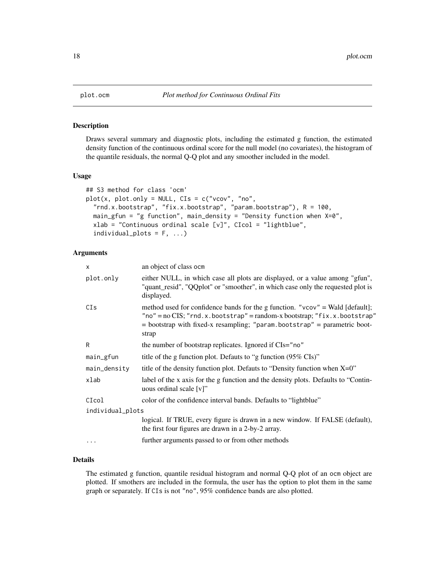<span id="page-17-0"></span>

Draws several summary and diagnostic plots, including the estimated g function, the estimated density function of the continuous ordinal score for the null model (no covariates), the histogram of the quantile residuals, the normal Q-Q plot and any smoother included in the model.

# Usage

```
## S3 method for class 'ocm'
plot(x, plot-only = NULL, CIs = c("vcov", "no","rnd.x.bootstrap", "fix.x.bootstrap", "param.bootstrap"), R = 100,
  main_gfun = "g function", main_density = "Density function when X=0",
  xlab = "Continuous ordinal scale [v]", CIcol = "lightblue",
  individual_{\text{plots}} = F, ...
```
# Arguments

| X                | an object of class ocm                                                                                                                                                                                                                                      |
|------------------|-------------------------------------------------------------------------------------------------------------------------------------------------------------------------------------------------------------------------------------------------------------|
| plot.only        | either NULL, in which case all plots are displayed, or a value among "gfun",<br>"quant_resid", "QQplot" or "smoother", in which case only the requested plot is<br>displayed.                                                                               |
| CIs              | method used for confidence bands for the g function. " $vcov$ " = Wald [default];<br>"no" = $no$ CIS; "rnd.x.bootstrap" = $random-x$ bootstrap; "fix.x.bootstrap"<br>$=$ bootstrap with fixed-x resampling; "param.bootstrap" $=$ parametric boot-<br>strap |
| R                | the number of bootstrap replicates. Ignored if CIs="no"                                                                                                                                                                                                     |
| main_gfun        | title of the g function plot. Defauts to "g function (95% CIs)"                                                                                                                                                                                             |
| main_density     | title of the density function plot. Defauts to "Density function when $X=0$ "                                                                                                                                                                               |
| xlab             | label of the x axis for the g function and the density plots. Defaults to "Contin-<br>uous ordinal scale [v]"                                                                                                                                               |
| CIcol            | color of the confidence interval bands. Defaults to "lightblue"                                                                                                                                                                                             |
| individual_plots |                                                                                                                                                                                                                                                             |
|                  | logical. If TRUE, every figure is drawn in a new window. If FALSE (default),<br>the first four figures are drawn in a 2-by-2 array.                                                                                                                         |
| $\cdots$         | further arguments passed to or from other methods                                                                                                                                                                                                           |

# Details

The estimated g function, quantile residual histogram and normal Q-Q plot of an ocm object are plotted. If smothers are included in the formula, the user has the option to plot them in the same graph or separately. If CIs is not "no", 95% confidence bands are also plotted.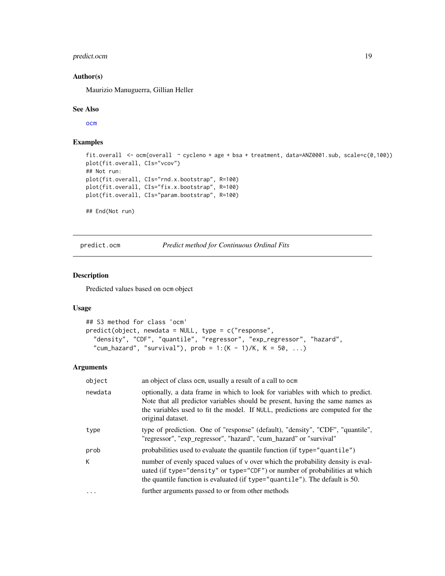# <span id="page-18-0"></span>predict.ocm 19

#### Author(s)

Maurizio Manuguerra, Gillian Heller

#### See Also

[ocm](#page-14-1)

# Examples

```
fit.overall <- ocm(overall ~ cycleno + age + bsa + treatment, data=ANZ0001.sub, scale=c(0,100))
plot(fit.overall, CIs="vcov")
## Not run:
plot(fit.overall, CIs="rnd.x.bootstrap", R=100)
plot(fit.overall, CIs="fix.x.bootstrap", R=100)
plot(fit.overall, CIs="param.bootstrap", R=100)
```
## End(Not run)

predict.ocm *Predict method for Continuous Ordinal Fits*

# Description

Predicted values based on ocm object

# Usage

```
## S3 method for class 'ocm'
predict(object, newdata = NULL, type = c("response",
  "density", "CDF", "quantile", "regressor", "exp_regressor", "hazard",
  "cum_hazard", "survival"), prob = 1:(K - 1)/K, K = 50, ...
```
#### Arguments

| object   | an object of class ocm, usually a result of a call to ocm                                                                                                                                                                                                              |
|----------|------------------------------------------------------------------------------------------------------------------------------------------------------------------------------------------------------------------------------------------------------------------------|
| newdata  | optionally, a data frame in which to look for variables with which to predict.<br>Note that all predictor variables should be present, having the same names as<br>the variables used to fit the model. If NULL, predictions are computed for the<br>original dataset. |
| type     | type of prediction. One of "response" (default), "density", "CDF", "quantile",<br>"regressor", "exp_regressor", "hazard", "cum_hazard" or "survival"                                                                                                                   |
| prob     | probabilities used to evaluate the quantile function (if type="quantile")                                                                                                                                                                                              |
| K.       | number of evenly spaced values of v over which the probability density is eval-<br>uated (if type="density" or type="CDF") or number of probabilities at which<br>the quantile function is evaluated (if type="quantile"). The default is 50.                          |
| $\ddots$ | further arguments passed to or from other methods                                                                                                                                                                                                                      |
|          |                                                                                                                                                                                                                                                                        |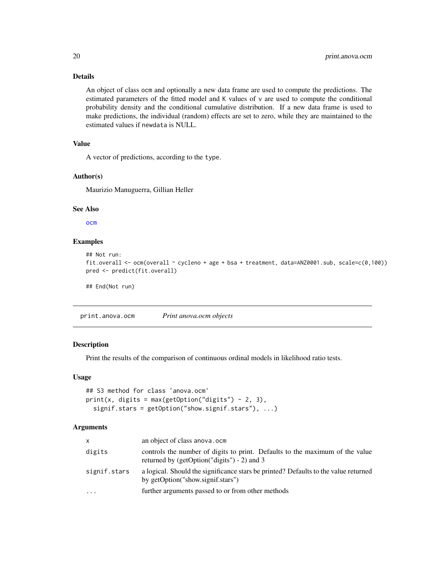# Details

An object of class ocm and optionally a new data frame are used to compute the predictions. The estimated parameters of the fitted model and K values of v are used to compute the conditional probability density and the conditional cumulative distribution. If a new data frame is used to make predictions, the individual (random) effects are set to zero, while they are maintained to the estimated values if newdata is NULL.

# Value

A vector of predictions, according to the type.

#### Author(s)

Maurizio Manuguerra, Gillian Heller

#### See Also

[ocm](#page-14-1)

#### Examples

```
## Not run:
fit.overall <- ocm(overall ~ cycleno + age + bsa + treatment, data=ANZ0001.sub, scale=c(0,100))
pred <- predict(fit.overall)
```
## End(Not run)

<span id="page-19-1"></span>print.anova.ocm *Print anova.ocm objects*

# Description

Print the results of the comparison of continuous ordinal models in likelihood ratio tests.

#### Usage

```
## S3 method for class 'anova.ocm'
print(x, digits = max(getOption("digits") - 2, 3),signif.stars = getOption("show.signif.stars"), ...)
```
#### Arguments

| $\mathsf{x}$ | an object of class anova.ocm                                                                                                    |
|--------------|---------------------------------------------------------------------------------------------------------------------------------|
| digits       | controls the number of digits to print. Defaults to the maximum of the value<br>returned by (getOption( $"digits"$ ) - 2) and 3 |
| signif.stars | a logical. Should the significance stars be printed? Defaults to the value returned<br>by getOption("show.signif.stars")        |
| $\cdots$     | further arguments passed to or from other methods                                                                               |

<span id="page-19-0"></span>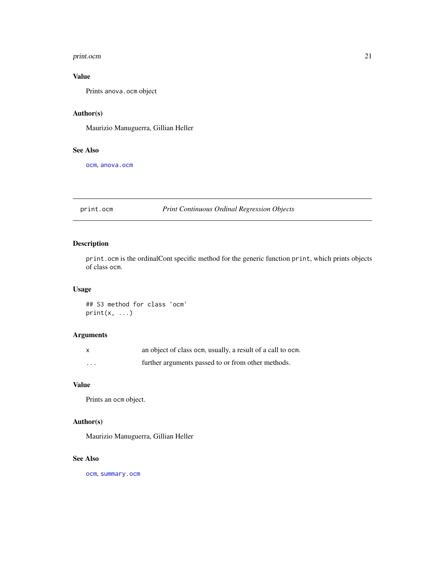#### <span id="page-20-0"></span>print.ocm 21

# Value

Prints anova.ocm object

# Author(s)

Maurizio Manuguerra, Gillian Heller

# See Also

[ocm](#page-14-1), [anova.ocm](#page-2-1)

# <span id="page-20-1"></span>print.ocm *Print Continuous Ordinal Regression Objects*

# Description

print.ocm is the ordinalCont specific method for the generic function print, which prints objects of class ocm.

# Usage

## S3 method for class 'ocm'  $print(x, \ldots)$ 

# Arguments

| X        | an object of class ocm, usually, a result of a call to ocm. |
|----------|-------------------------------------------------------------|
| $\cdots$ | further arguments passed to or from other methods.          |

# Value

Prints an ocm object.

# Author(s)

Maurizio Manuguerra, Gillian Heller

# See Also

[ocm](#page-14-1), [summary.ocm](#page-21-1)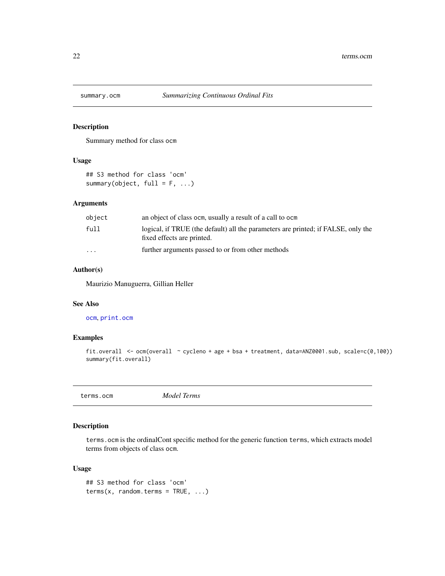<span id="page-21-1"></span><span id="page-21-0"></span>

Summary method for class ocm

# Usage

```
## S3 method for class 'ocm'
summary(object, full = F, ...)
```
# Arguments

| object               | an object of class ocm, usually a result of a call to ocm                                                       |
|----------------------|-----------------------------------------------------------------------------------------------------------------|
| full                 | logical, if TRUE (the default) all the parameters are printed; if FALSE, only the<br>fixed effects are printed. |
| $\ddot{\phantom{0}}$ | further arguments passed to or from other methods                                                               |

# Author(s)

Maurizio Manuguerra, Gillian Heller

# See Also

[ocm](#page-14-1), [print.ocm](#page-20-1)

# Examples

```
fit.overall <- ocm(overall ~ cycleno + age + bsa + treatment, data=ANZ0001.sub, scale=c(0,100))
summary(fit.overall)
```
terms.ocm *Model Terms*

# Description

terms.ocm is the ordinalCont specific method for the generic function terms, which extracts model terms from objects of class ocm.

# Usage

```
## S3 method for class 'ocm'
terms(x, random.terms = TRUE, ...)
```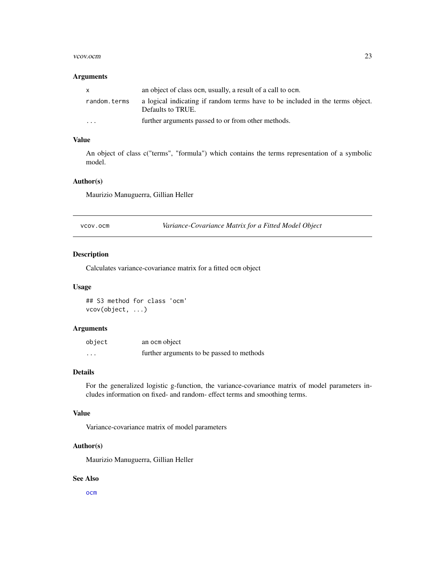#### <span id="page-22-0"></span>vcov.ocm 23

#### Arguments

| X            | an object of class ocm, usually, a result of a call to ocm.                                        |
|--------------|----------------------------------------------------------------------------------------------------|
| random.terms | a logical indicating if random terms have to be included in the terms object.<br>Defaults to TRUE. |
| $\cdots$     | further arguments passed to or from other methods.                                                 |

# Value

An object of class c("terms", "formula") which contains the terms representation of a symbolic model.

# Author(s)

Maurizio Manuguerra, Gillian Heller

vcov.ocm *Variance-Covariance Matrix for a Fitted Model Object*

# Description

Calculates variance-covariance matrix for a fitted ocm object

# Usage

## S3 method for class 'ocm' vcov(object, ...)

# Arguments

| object   | an ocm object                             |
|----------|-------------------------------------------|
| $\cdots$ | further arguments to be passed to methods |

# Details

For the generalized logistic g-function, the variance-covariance matrix of model parameters includes information on fixed- and random- effect terms and smoothing terms.

#### Value

Variance-covariance matrix of model parameters

# Author(s)

Maurizio Manuguerra, Gillian Heller

# See Also

[ocm](#page-14-1)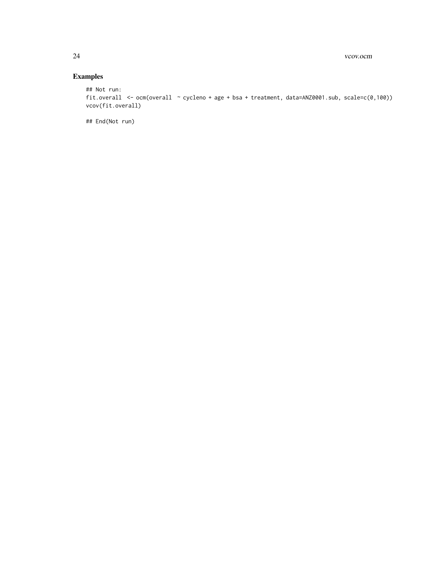# Examples

```
## Not run:
fit.overall <- ocm(overall ~ cycleno + age + bsa + treatment, data=ANZ0001.sub, scale=c(0,100))
vcov(fit.overall)
```
## End(Not run)